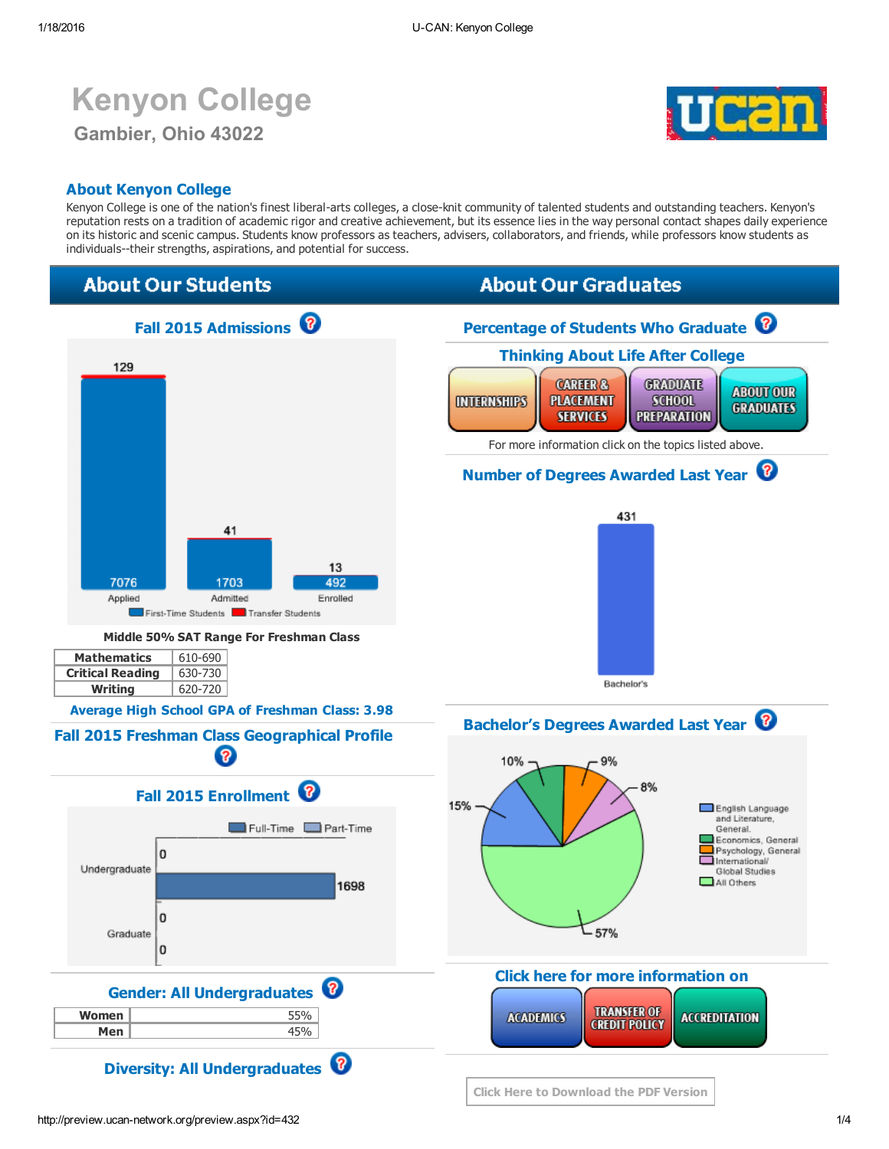# Kenyon College Gambier, Ohio 43022



### About Kenyon College

Kenyon College is one of the nation's finest liberal-arts colleges, a close-knit community of talented students and outstanding teachers. Kenyon's reputation rests on a tradition of academic rigor and creative achievement, but its essence lies in the way personal contact shapes daily experience on its historic and scenic campus. Students know professors as teachers, advisers, collaborators, and friends, while professors know students as individuals--their strengths, aspirations, and potential for success.

# **About Our Students**

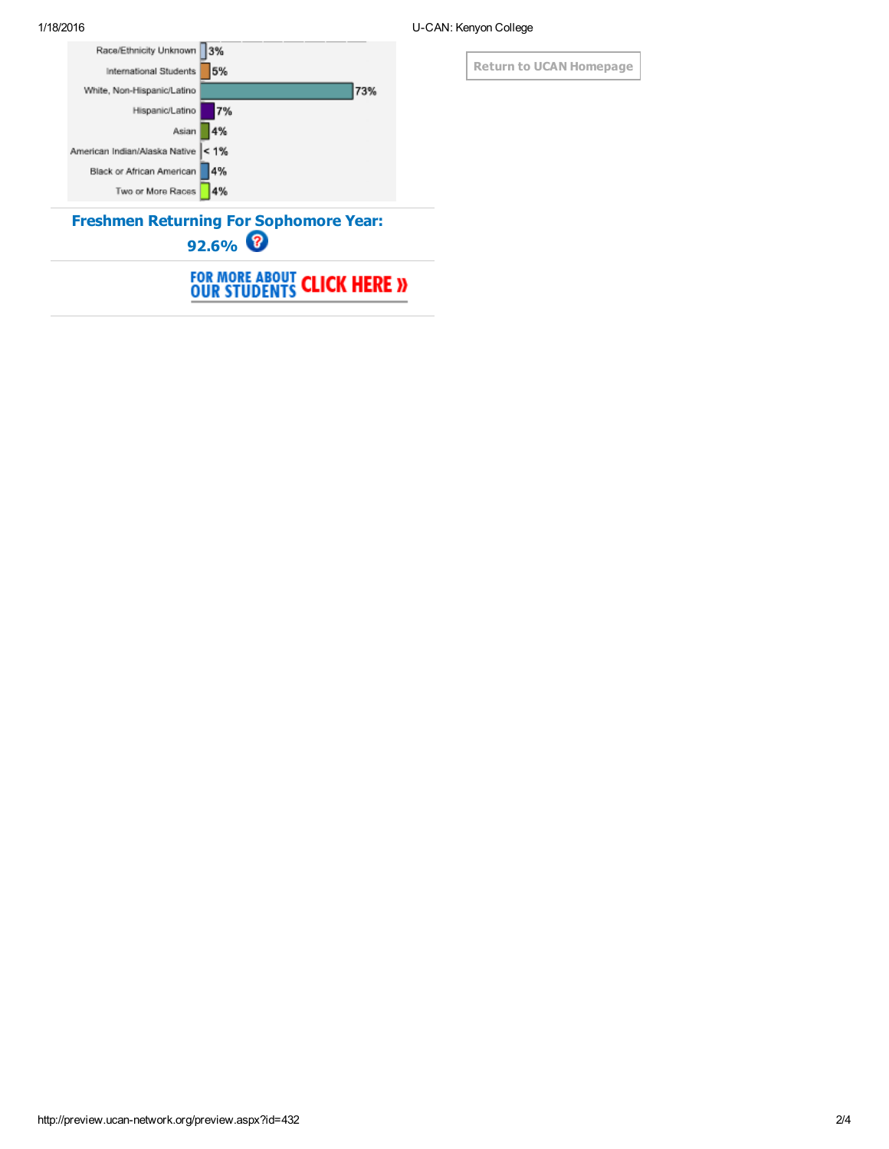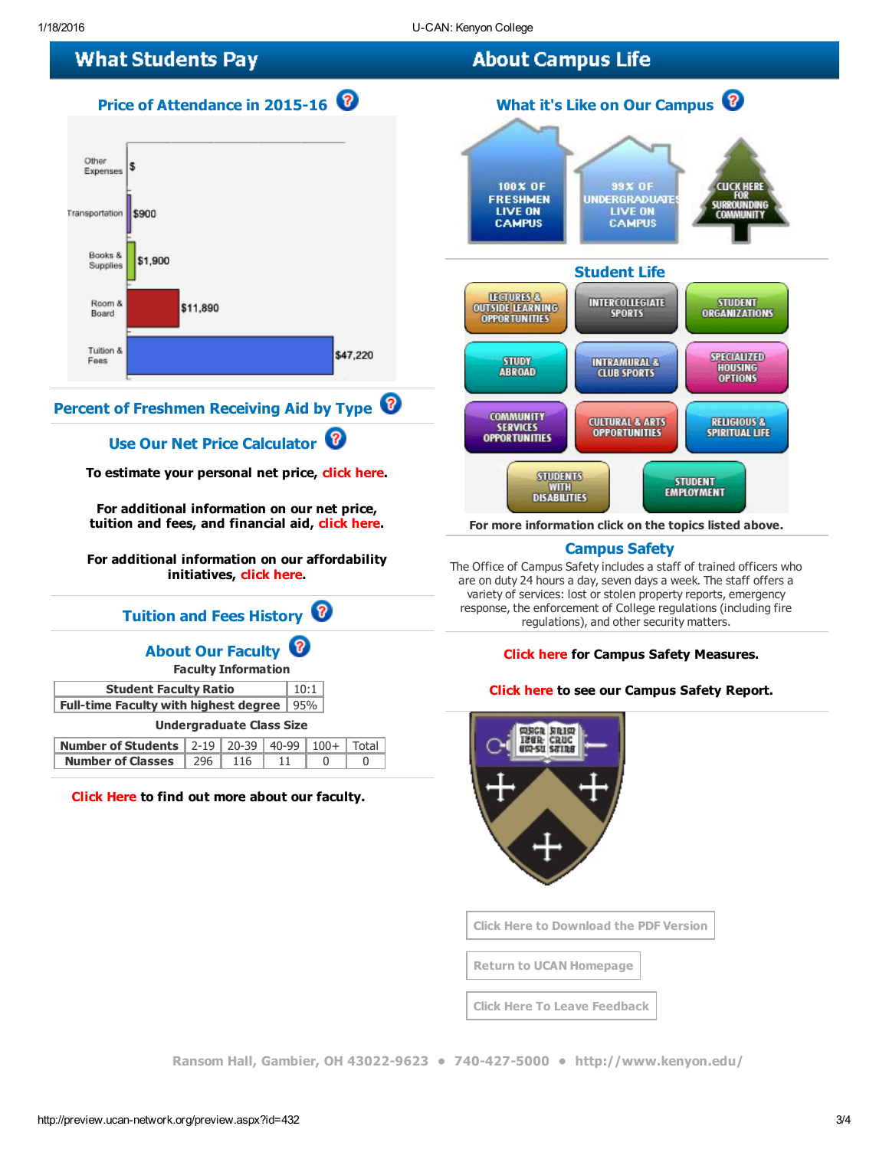# **What Students Pay**





# Percent of Freshmen Receiving Aid by Type <sup>?</sup>

### Use Our Net Price Calculator <sup>1</sup>

To estimate your personal net price, click [here.](http://www.kenyon.edu/admissions-aid/financial-aid/cost-breakdown-by-semester/kenyon-net-price-calculator/)

For additional information on our net price, tuition and fees, and financial aid, click [here.](http://www.kenyon.edu/admissions-aid/financial-aid/)

For additional information on our affordability initiatives, click [here.](http://www.kenyon.edu/admissions-aid/financial-aid/)

### Tuition and Fees History <sup>1</sup>

### About Our Faculty

Faculty Information

| $\vert 10:1$<br><b>Student Faculty Ratio</b>       |  |
|----------------------------------------------------|--|
| <b>Full-time Faculty with highest degree</b>   95% |  |

#### Undergraduate Class Size

| <b>Number of Students</b> 2-19 20-39 40-99 100+ Total       |  |  |  |
|-------------------------------------------------------------|--|--|--|
| <b>Number of Classes</b> $\vert$ 296 $\vert$ 116 $\vert$ 11 |  |  |  |

[Click](http://www.kenyon.edu/academics/faculty/) Here to find out more about our faculty.



For more information click on the topics listed above.

### Campus Safety

The Office of Campus Safety includes a staff of trained officers who are on duty 24 hours a day, seven days a week. The staff offers a variety of services: lost or stolen property reports, emergency response, the enforcement of College regulations (including fire regulations), and other security matters.

#### [Click](http://www.kenyon.edu/directories/offices-services/campus-safety/) here for Campus Safety Measures.

#### [Click](http://www.kenyon.edu/files/pages/annual_security_report_vawa2013.pdf) here to see our Campus Safety Report.



Click Here to [Download](http://preview.ucan-network.org/pdf/u-can-432.pdf?q=1182016105410) the PDF Version

Return to UCAN [Homepage](http://www.ucan-network.org/)

Click Here To Leave [Feedback](http://www.surveymonkey.com/s.aspx?sm=dfP0Lg1XMIbL1kLdz3PPuA_3d_3d)

Ransom Hall, Gambier, OH 43022-9623 • 740-427-5000 • <http://www.kenyon.edu/>